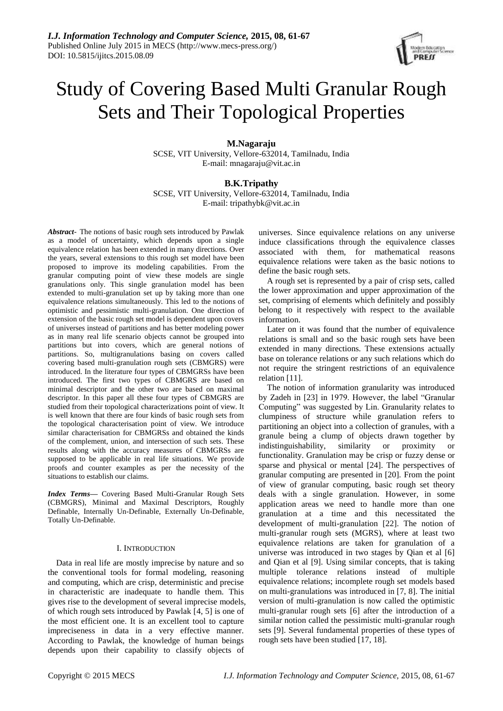

# Study of Covering Based Multi Granular Rough Sets and Their Topological Properties

**M.Nagaraju** SCSE, VIT University, Vellore-632014, Tamilnadu, India E-mail: mnagaraju@vit.ac.in

# **B.K.Tripathy**

SCSE, VIT University, Vellore-632014, Tamilnadu, India E-mail: tripathybk@vit.ac.in

*Abstract*- The notions of basic rough sets introduced by Pawlak as a model of uncertainty, which depends upon a single equivalence relation has been extended in many directions. Over the years, several extensions to this rough set model have been proposed to improve its modeling capabilities. From the granular computing point of view these models are single granulations only. This single granulation model has been extended to multi-granulation set up by taking more than one equivalence relations simultaneously. This led to the notions of optimistic and pessimistic multi-granulation. One direction of extension of the basic rough set model is dependent upon covers of universes instead of partitions and has better modeling power as in many real life scenario objects cannot be grouped into partitions but into covers, which are general notions of partitions. So, multigranulations basing on covers called covering based multi-granulation rough sets (CBMGRS) were introduced. In the literature four types of CBMGRSs have been introduced. The first two types of CBMGRS are based on minimal descriptor and the other two are based on maximal descriptor. In this paper all these four types of CBMGRS are studied from their topological characterizations point of view. It is well known that there are four kinds of basic rough sets from the topological characterisation point of view. We introduce similar characterisation for CBMGRSs and obtained the kinds of the complement, union, and intersection of such sets. These results along with the accuracy measures of CBMGRSs are supposed to be applicable in real life situations. We provide proofs and counter examples as per the necessity of the situations to establish our claims.

*Index Terms***—** Covering Based Multi-Granular Rough Sets (CBMGRS), Minimal and Maximal Descriptors, Roughly Definable, Internally Un-Definable, Externally Un-Definable, Totally Un-Definable.

## I. INTRODUCTION

Data in real life are mostly imprecise by nature and so the conventional tools for formal modeling, reasoning and computing, which are crisp, deterministic and precise in characteristic are inadequate to handle them. This gives rise to the development of several imprecise models, of which rough sets introduced by Pawlak [4, 5] is one of the most efficient one. It is an excellent tool to capture impreciseness in data in a very effective manner. According to Pawlak, the knowledge of human beings depends upon their capability to classify objects of universes. Since equivalence relations on any universe induce classifications through the equivalence classes associated with them, for mathematical reasons equivalence relations were taken as the basic notions to define the basic rough sets.

A rough set is represented by a pair of crisp sets, called the lower approximation and upper approximation of the set, comprising of elements which definitely and possibly belong to it respectively with respect to the available information.

Later on it was found that the number of equivalence relations is small and so the basic rough sets have been extended in many directions. These extensions actually base on tolerance relations or any such relations which do not require the stringent restrictions of an equivalence relation [11].

The notion of information granularity was introduced by Zadeh in [23] in 1979. However, the label "Granular Computing" was suggested by Lin. Granularity relates to clumpiness of structure while granulation refers to partitioning an object into a collection of granules, with a granule being a clump of objects drawn together by indistinguishability, similarity or proximity or indistinguishability, similarity or proximity or functionality. Granulation may be crisp or fuzzy dense or sparse and physical or mental [24]. The perspectives of granular computing are presented in [20]. From the point of view of granular computing, basic rough set theory deals with a single granulation. However, in some application areas we need to handle more than one granulation at a time and this necessitated the development of multi-granulation [22]. The notion of multi-granular rough sets (MGRS), where at least two equivalence relations are taken for granulation of a universe was introduced in two stages by Qian et al [6] and Qian et al [9]. Using similar concepts, that is taking multiple tolerance relations instead of multiple equivalence relations; incomplete rough set models based on multi-granulations was introduced in [7, 8]. The initial version of multi-granulation is now called the optimistic multi-granular rough sets [6] after the introduction of a similar notion called the pessimistic multi-granular rough sets [9]. Several fundamental properties of these types of rough sets have been studied [17, 18].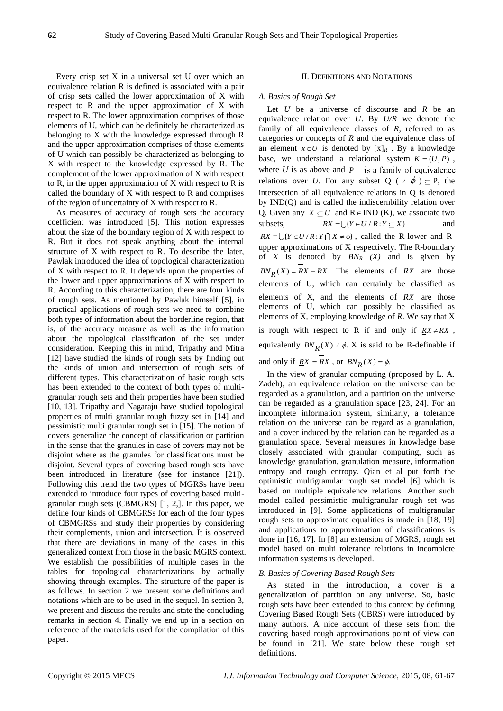Every crisp set X in a universal set U over which an equivalence relation R is defined is associated with a pair of crisp sets called the lower approximation of X with respect to R and the upper approximation of X with respect to R. The lower approximation comprises of those elements of U, which can be definitely be characterized as belonging to X with the knowledge expressed through R and the upper approximation comprises of those elements of U which can possibly be characterized as belonging to X with respect to the knowledge expressed by R. The complement of the lower approximation of X with respect to R, in the upper approximation of X with respect to R is called the boundary of X with respect to R and comprises of the region of uncertainty of X with respect to R.

As measures of accuracy of rough sets the accuracy coefficient was introduced [5]. This notion expresses about the size of the boundary region of X with respect to R. But it does not speak anything about the internal structure of X with respect to R. To describe the later, Pawlak introduced the idea of topological characterization of X with respect to R. It depends upon the properties of the lower and upper approximations of X with respect to R. According to this characterization, there are four kinds of rough sets. As mentioned by Pawlak himself [5], in practical applications of rough sets we need to combine both types of information about the borderline region, that is, of the accuracy measure as well as the information about the topological classification of the set under consideration. Keeping this in mind, Tripathy and Mitra [12] have studied the kinds of rough sets by finding out the kinds of union and intersection of rough sets of different types. This characterization of basic rough sets has been extended to the context of both types of multigranular rough sets and their properties have been studied [10, 13]. Tripathy and Nagaraju have studied topological properties of multi granular rough fuzzy set in [14] and pessimistic multi granular rough set in [15]. The notion of covers generalize the concept of classification or partition in the sense that the granules in case of covers may not be disjoint where as the granules for classifications must be disjoint. Several types of covering based rough sets have been introduced in literature (see for instance [21]). Following this trend the two types of MGRSs have been extended to introduce four types of covering based multigranular rough sets (CBMGRS) [1, 2,]. In this paper, we define four kinds of CBMGRSs for each of the four types of CBMGRSs and study their properties by considering their complements, union and intersection. It is observed that there are deviations in many of the cases in this generalized context from those in the basic MGRS context. We establish the possibilities of multiple cases in the tables for topological characterizations by actually showing through examples. The structure of the paper is as follows. In section 2 we present some definitions and notations which are to be used in the sequel. In section 3, we present and discuss the results and state the concluding remarks in section 4. Finally we end up in a section on reference of the materials used for the compilation of this paper.

### II. DEFINITIONS AND NOTATIONS

## *A. Basics of Rough Set*

Let *U* be a universe of discourse and *R* be an equivalence relation over *U*. By *U/R* we denote the family of all equivalence classes of *R*, referred to as categories or concepts of *R* and the equivalence class of an element  $x \in U$  is denoted by  $[x]_R$ . By a knowledge base, we understand a relational system  $K = (U, P)$ , where *U* is as above and *P* relations over *U*. For any subset  $Q$  ( $\neq \phi$ )  $\subseteq$  P, the intersection of all equivalence relations in Q is denoted by IND(Q) and is called the indiscernbility relation over Q. Given any  $X \subseteq U$  and  $R \in IND$  (K), we associate two subsets,  $RX = \bigcup \{ Y \in U / R : Y \subseteq X \}$ and  $\overline{R}X = \bigcup \{ Y \in U / R : Y \cap X \neq \emptyset \}$ , called the R-lower and Rupper approximations of X respectively. The R-boundary of *X* is denoted by  $BN_R$   $(X)$  and is given by  $BN_R(X) = RX - RX$ . The elements of  $RX$  are those elements of U, which can certainly be classified as elements of X, and the elements of *RX* are those elements of U, which can possibly be classified as elements of X, employing knowledge of *R*. We say that X is rough with respect to R if and only if  $RX \neq RX$ , equivalently  $BN_R(X) \neq \emptyset$ . X is said to be R-definable if and only if <u> $RX = RX$ </u>, or  $BN_R(X) = \phi$ .

In the view of granular computing (proposed by L. A. Zadeh), an equivalence relation on the universe can be regarded as a granulation, and a partition on the universe can be regarded as a granulation space [23, 24]. For an incomplete information system, similarly, a tolerance relation on the universe can be regard as a granulation, and a cover induced by the relation can be regarded as a granulation space. Several measures in knowledge base closely associated with granular computing, such as knowledge granulation, granulation measure, information entropy and rough entropy. Qian et al put forth the optimistic multigranular rough set model [6] which is based on multiple equivalence relations. Another such model called pessimistic multigranular rough set was introduced in [9]. Some applications of multigranular rough sets to approximate equalities is made in [18, 19] and applications to approximation of classifications is done in [16, 17]. In [8] an extension of MGRS, rough set model based on multi tolerance relations in incomplete information systems is developed.

#### *B. Basics of Covering Based Rough Sets*

As stated in the introduction, a cover is a generalization of partition on any universe. So, basic rough sets have been extended to this context by defining Covering Based Rough Sets (CBRS) were introduced by many authors. A nice account of these sets from the covering based rough approximations point of view can be found in [21]. We state below these rough set definitions.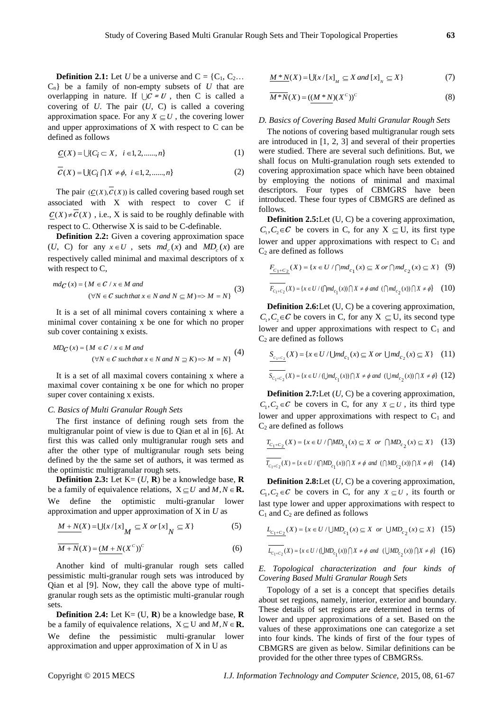**Definition 2.1:** Let *U* be a universe and  $C = \{C_1, C_2 \dots\}$ Cn} be a family of non-empty subsets of *U* that are overlapping in nature. If  $\bigcup C = U$ , then C is called a covering of *U*. The pair (*U*, C) is called a covering approximation space. For any  $X \subseteq U$ , the covering lower and upper approximations of X with respect to C can be defined as follows

$$
\underline{C}(X) = \bigcup \{ C_i \subset X, \ i \in I, 2, \dots, n \}
$$
\n<sup>(1)</sup>

$$
\overline{C}(X) = \bigcup \{ C_i \cap X \neq \emptyset, i \in I, 2, \dots, n \}
$$
 (2)

The pair  $(C(X), C(X))$  is called covering based rough set associated with X with respect to cover C if  $\underline{C}(X) \neq C(X)$ , i.e., X is said to be roughly definable with respect to C. Otherwise X is said to be C-definable.

**Definition 2.2:** Given a covering approximation space (*U*, C) for any  $x \in U$ , sets  $md_c(x)$  and  $MD_c(x)$  are respectively called minimal and maximal descriptors of x

with respect to C,  
\n
$$
md_C(x) = \{ M \in C / x \in M \text{ and}
$$
\n
$$
(\forall N \in C \text{ such that } x \in N \text{ and } N \subseteq M) \Rightarrow M = N \}
$$
\n(3)

It is a set of all minimal covers containing x where a minimal cover containing x be one for which no proper

sub cover containing x exists.

\n
$$
MD_{\mathbb{C}}(x) = \{ M \in \mathbb{C} \mid x \in M \text{ and } ( \forall N \in \mathbb{C} \text{ such that } x \in N \text{ and } N \supseteq K \} \tag{4}
$$
\n
$$
(4)
$$

It is a set of all maximal covers containing x where a maximal cover containing x be one for which no proper super cover containing x exists.

#### *C. Basics of Multi Granular Rough Sets*

The first instance of defining rough sets from the multigranular point of view is due to Qian et al in [6]. At first this was called only multigranular rough sets and after the other type of multigranular rough sets being defined by the the same set of authors, it was termed as the optimistic multigranular rough sets.

**Definition 2.3:** Let  $K = (U, R)$  be a knowledge base,  $R$ be a family of equivalence relations,  $X \subseteq U$  and  $M, N \in \mathbb{R}$ . We define the optimistic multi-granular lower approximation and upper approximation of X in *U* as

$$
\underline{M+N(X)} = \bigcup \{x/[x]_M \subseteq X \text{ or } [x]_N \subseteq X\}
$$
 (5)

$$
\overline{M+N}(X) = (M+N(X^c))^c \tag{6}
$$

Another kind of multi-granular rough sets called pessimistic multi-granular rough sets was introduced by Qian et al [9]. Now, they call the above type of multigranular rough sets as the optimistic multi-granular rough sets.

**Definition 2.4:** Let  $K = (U, R)$  be a knowledge base,  $R$ be a family of equivalence relations,  $X \subseteq U$  and  $M, N \in \mathbb{R}$ . We define the pessimistic multi-granular lower approximation and upper approximation of X in U as

$$
\underline{M*N}(X) = \bigcup \{x/[x]_M \subseteq X \text{ and } [x]_N \subseteq X\}
$$
 (7)

$$
\overline{M^*N}(X) = ((M^*N)(X^c))^c \tag{8}
$$

#### *D. Basics of Covering Based Multi Granular Rough Sets*

The notions of covering based multigranular rough sets are introduced in [1, 2, 3] and several of their properties were studied. There are several such definitions. But, we shall focus on Multi-granulation rough sets extended to covering approximation space which have been obtained by employing the notions of minimal and maximal descriptors. Four types of CBMGRS have been introduced. These four types of CBMGRS are defined as follows.

**Definition 2.5:**Let (U, C) be a covering approximation,  $C_1, C_2 \in \mathcal{C}$  be covers in C, for any  $X \subseteq U$ , its first type lower and upper approximations with respect to  $C_1$  and  $C_2$  are defined as follows

$$
F_{C_1+C_2}(X) = \{x \in U / \bigcap md_{c_1}(x) \subseteq X \text{ or } \bigcap md_{c_2}(x) \subseteq X\} \quad (9)
$$

$$
\overline{F_{C_1+C_2}}(X) = \{x \in U / \left(\bigcap md_{c_1}(x)\right) \bigcap X \neq \phi \text{ and } \left(\bigcap md_{c_2}(x)\right) \bigcap X \neq \phi\}
$$
 (10)

**Definition 2.6:**Let (U, C) be a covering approximation,  $C_1, C_2 \in \mathcal{C}$  be covers in C, for any  $X \subseteq U$ , its second type lower and upper approximations with respect to  $C_1$  and  $C_2$  are defined as follows

$$
S_{c_1+c_2}(X) = \{x \in U / \bigcup md_{c_1}(x) \subseteq X \text{ or } \bigcup md_{c_2}(x) \subseteq X\}
$$
 (11)  

$$
S_{c_1+c_2}(X) = \{x \in U / \bigcup md_{c_1}(x)\bigcap X \neq \emptyset \text{ and } (\bigcup md_{c_2}(x)) \cap X \neq \emptyset\}
$$
 (12)

**Definition 2.7:**Let (*U*, C) be a covering approximation,  $C_1, C_2 \in \mathcal{C}$  be covers in C, for any  $X \subseteq U$ , its third type lower and upper approximations with respect to  $C_1$  and  $C_2$  are defined as follows

$$
T_{C_1+C_2}(X) = \{x \in U / \bigcap MD_{c_1}(x) \subseteq X \text{ or } \bigcap MD_{c_2}(x) \subseteq X\} \quad (13)
$$

$$
\overline{T_{c_1+c_2}}(X) = \{x \in U / (\bigcap MD_{c_1}(x)) \cap X \neq \emptyset \text{ and } (\bigcap MD_{c_2}(x)) \cap X \neq \emptyset\} \qquad (14)
$$

**Definition 2.8:**Let (*U*, C) be a covering approximation,  $C_1, C_2 \in \mathcal{C}$  be covers in C, for any  $X \subseteq U$ , its fourth or last type lower and upper approximations with respect to  $C_1$  and  $C_2$  are defined as follows

$$
L_{C_1+C_2}(X) = \{x \in U / \bigcup MD_{c_1}(x) \subseteq X \text{ or } \bigcup MD_{c_2}(x) \subseteq X\}
$$
 (15)

$$
\overline{L_{c_1+c_2}}(X)=\{x\in U\ /\ (\bigcup MD_{c_1}(x)\bigcap X\neq \phi\ and\ (\bigcup MD_{c_2}(x)\bigcap X\neq \phi\}\ (16)
$$

*E. Topological characterization and four kinds of Covering Based Multi Granular Rough Sets*

Topology of a set is a concept that specifies details about set regions, namely, interior, exterior and boundary. These details of set regions are determined in terms of lower and upper approximations of a set. Based on the values of these approximations one can categorize a set into four kinds. The kinds of first of the four types of CBMGRS are given as below. Similar definitions can be provided for the other three types of CBMGRSs.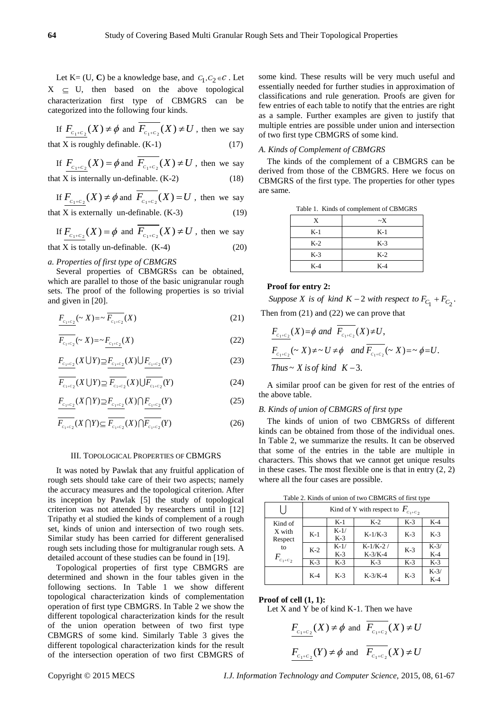Let K = (U, C) be a knowledge base, and  $C_1, C_2 \in \mathcal{C}$ . Let  $X \subseteq U$ , then based on the above topological characterization first type of CBMGRS can be categorized into the following four kinds.

If 
$$
\underline{F_{c_1+c_2}}(X) \neq \phi
$$
 and  $\overline{F_{c_1+c_2}}(X) \neq U$ , then we say

that X is roughly definable. 
$$
(K-1)
$$
 (17)

If 
$$
F_{C_1+C_2}(X) = \phi
$$
 and  $F_{C_1+C_2}(X) \neq U$ , then we say  
that X is internally un-definable. (K-2) (18)

If 
$$
\underline{F_{c_1+c_2}}(X) \neq \phi
$$
 and  $\overline{F_{c_1+c_2}}(X) = U$ , then we say

that X is externally un-definable. 
$$
(K-3)
$$
 (19)

If  $F_{c_1+c_2}(X) = \phi$  and  $F_{c_1+c_2}(X) \neq U$ , then we say

that X is totally un-definable.  $(K-4)$  (20)

## *a. Properties of first type of CBMGRS*

Several properties of CBMGRSs can be obtained, which are parallel to those of the basic unigranular rough sets. The proof of the following properties is so trivial and given in [20].

$$
\underline{F_{c_1+c_2}}(\sim X) = \sim \overline{F_{c_1+c_2}}(X)
$$
\n(21)

$$
\overline{F_{c_1+c_2}}(\sim X) = \sim \underline{F_{c_1+c_2}}(X)
$$
\n(22)

$$
F_{c_1+c_2}(X \cup Y) \supseteq F_{c_1+c_2}(X) \cup F_{c_1+c_2}(Y) \tag{23}
$$

$$
\overline{F_{c_1+c_2}}(X \cup Y) \supseteq \overline{F_{c_1+c_2}}(X) \cup \overline{F_{c_1+c_2}}(Y) \tag{24}
$$

$$
F_{c_1+c_2}(X \cap Y) \supseteq F_{c_1+c_2}(X) \cap F_{c_1+c_2}(Y) \tag{25}
$$

$$
\overline{F_{c_1+c_2}}(X \cap Y) \subseteq \overline{F_{c_1+c_2}}(X) \cap \overline{F_{c_1+c_2}}(Y) \tag{26}
$$

#### III. TOPOLOGICAL PROPERTIES OF CBMGRS

It was noted by Pawlak that any fruitful application of rough sets should take care of their two aspects; namely the accuracy measures and the topological criterion. After its inception by Pawlak [5] the study of topological criterion was not attended by researchers until in [12] Tripathy et al studied the kinds of complement of a rough set, kinds of union and intersection of two rough sets. Similar study has been carried for different generalised rough sets including those for multigranular rough sets. A detailed account of these studies can be found in [19].

Topological properties of first type CBMGRS are determined and shown in the four tables given in the following sections. In Table 1 we show different topological characterization kinds of complementation operation of first type CBMGRS. In Table 2 we show the different topological characterization kinds for the result of the union operation between of two first type CBMGRS of some kind. Similarly Table 3 gives the different topological characterization kinds for the result of the intersection operation of two first CBMGRS of

some kind. These results will be very much useful and essentially needed for further studies in approximation of classifications and rule generation. Proofs are given for few entries of each table to notify that the entries are right as a sample. Further examples are given to justify that multiple entries are possible under union and intersection of two first type CBMGRS of some kind.

## *A. Kinds of Complement of CBMGRS*

The kinds of the complement of a CBMGRS can be derived from those of the CBMGRS. Here we focus on CBMGRS of the first type. The properties for other types are same.

|  |  | Table 1. Kinds of complement of CBMGRS |  |  |
|--|--|----------------------------------------|--|--|
|--|--|----------------------------------------|--|--|

| X     | $\sim$ X |
|-------|----------|
| $K-1$ | $K-1$    |
| $K-2$ | $K-3$    |
| $K-3$ | $K-2$    |
| $K-4$ | $K-4$    |

#### **Proof for entry 2:**

**Proof for entry 2:**<br>Suppose X is of kind  $K - 2$  with respect to  $F_{C_1} + F_{C_2}$ .

Then from (21) and (22) we can prove that  
\n
$$
\frac{F_{c_1+c_2}(X) = \phi \text{ and } \overline{F_{c_1+c_2}}(X) \neq U,}{F_{c_1+c_2}(\sim X) \neq \sim U \neq \phi \text{ and } \overline{F_{c_1+c_2}}(\sim X) = \sim \phi = U.
$$
\nThus  $\sim X$  is of kind  $K - 3$ .

A similar proof can be given for rest of the entries of the above table.

#### *B. Kinds of union of CBMGRS of first type*

The kinds of union of two CBMGRSs of different kinds can be obtained from those of the individual ones. In Table 2, we summarize the results. It can be observed that some of the entries in the table are multiple in characters. This shows that we cannot get unique results in these cases. The most flexible one is that in entry  $(2, 2)$ where all the four cases are possible.

Table 2. Kinds of union of two CBMGRS of first type

|                     | Kind of Y with respect to $F_{c_1+c_2}$ |                 |                         |       |                 |  |
|---------------------|-----------------------------------------|-----------------|-------------------------|-------|-----------------|--|
| Kind of             |                                         | $K-1$           | $K-2$                   | $K-3$ | $K-4$           |  |
| X with<br>Respect   | $K-1$                                   | $K-1/$<br>$K-3$ | $K-1/K-3$               | $K-3$ | $K-3$           |  |
| to<br>$F_{c_1+c_2}$ | $K-2$                                   | $K-1/$<br>$K-3$ | $K-1/K-2/$<br>$K-3/K-4$ | $K-3$ | $K-3/$<br>$K-4$ |  |
|                     | $K-3$                                   | $K-3$           | $K-3$                   | $K-3$ | $K-3$           |  |
|                     | $K-4$                                   | $K-3$           | $K-3/K-4$               | $K-3$ | $K-3/$<br>$K-4$ |  |

#### **Proof of cell (1, 1):**

Let  $X$  and  $Y$  be of kind  $K-1$ . Then we have

$$
\frac{F_{c_1+c_2}(X) \neq \phi \text{ and } \overline{F_{c_1+c_2}(X)} \neq U}{F_{c_1+c_2}(Y) \neq \phi \text{ and } \overline{F_{c_1+c_2}(X)} \neq U}
$$

Copyright © 2015 MECS *I.J. Information Technology and Computer Science,* 2015, 08, 61-67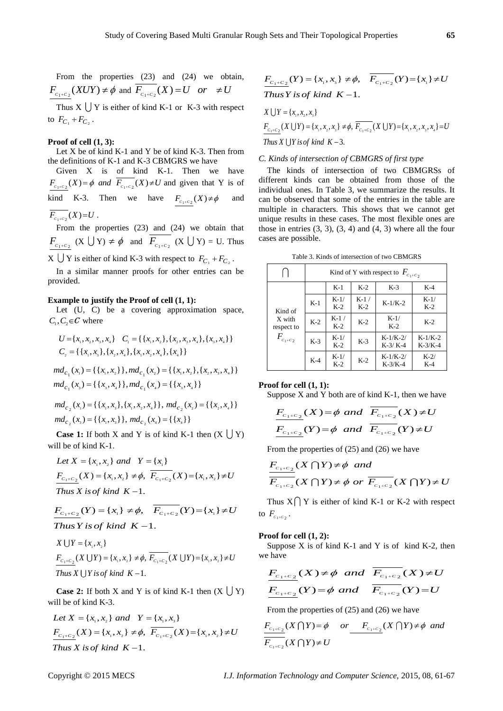From the properties (23) and (24) we obtain,  $F_{C_1+C_2}(XUY) \neq \phi$  and  $F_{C_1+C_2}(X) = U$  or  $\neq U$ 

Thus  $X \cup Y$  is either of kind K-1 or K-3 with respect to  $F_{C_1} + F_{C_2}$ .

#### **Proof of cell (1, 3):**

Let X be of kind  $K-1$  and Y be of kind  $K-3$ . Then from the definitions of K-1 and K-3 CBMGRS we have

Given X is of kind K-1. Then we have  $F_{C_1+C_2}(X) = \phi$  and  $F_{C_1+C_2}(X) \neq U$  and given that Y is of kind K-3. Then we have  $F_{c_1+c_2}(X) \neq \phi$ and  $F_{c_1+c_2}(X) = U$ .

From the properties (23) and (24) we obtain that  $F_{C_1+C_2}$  (X  $\bigcup Y$ )  $\neq \phi$  and  $F_{C_1+C_2}$  (X  $\bigcup Y$ ) = U. Thus  $X \cup Y$  is either of kind K-3 with respect to  $F_{C_1} + F_{C_2}$ .

In a similar manner proofs for other entries can be provided.

# **Example to justify the Proof of cell (1, 1):**

Let  $(U, C)$  be a covering approximation space,  $C_1, C_2 \in \mathcal{C}$  where

$$
U = \{x_1, x_2, x_3, x_4\} \quad C_1 = \{\{x_1, x_2\}, \{x_2, x_3, x_4\}, \{x_3, x_4\}\}
$$
  

$$
C_2 = \{\{x_1, x_3\}, \{x_2, x_4\}, \{x_1, x_2, x_4\}, \{x_4\}\}
$$

$$
C_2 = \{ \{x_1, x_3\}, \{x_2, x_4\}, \{x_1, x_2, x_4\}, \{x_4\} \}
$$
  

$$
md_{C_1}(x_1) = \{ \{x_1, x_2\} \}, md_{C_1}(x_2) = \{ \{x_1, x_2\}, \{x_2, x_3, x_4\} \}
$$
  

$$
md_{C_1}(x_3) = \{ \{x_3, x_4\} \}, md_{C_1}(x_4) = \{ \{x_3, x_4\} \}
$$

$$
md_{c_1}(x_s) = \{ \{x_i, x_s\}, \{x_i, x_s, x_4\} \}, md_{c_2}(x_i) = \{ \{x_i, x_s\}, \{x_i, x_s, x_s\} \}, md_{c_2}(x_s) = \{ \{x_i, x_s\} \}, md_{c_2}(x_s) = \{ \{x_i, x_s\} \}, md_{c_2}(x_s) = \{ \{x_i\} \}
$$

**Case 1:** If both X and Y is of kind K-1 then  $(X \cup Y)$ will be of kind K-1.

Il be of kind K-1.<br>Let  $X = \{x_1, x_2\}$  and  $Y = \{x_1\}$ Let  $X = \{x_1, x_2\}$  and  $Y = \{x_1\}$ <br> $\frac{F_{C_1+C_2}}{F_{C_1+C_2}}(X) = \{x_1, x_2\} \neq \emptyset$ ,  $\overline{F_{C_1+C_2}}(X) = \{x_1, x_2\} \neq U$  $F_{C_1+C_2}(X) = \{x_1, x_2\} \neq \emptyset,$ <br>Thus X is of kind  $K-1$ .

*Thus X is of kind* 
$$
K-1
$$
.  
\n
$$
F_{C_1+C_2}(Y) = \{x_1\} \neq \emptyset, \quad \overline{F_{C_1+C_2}}(Y) = \{x_1\} \neq U
$$
\n*Thus Y is of kind*  $K-1$ .

*x*  $\bigcup Y = \{x_1, x_2\}$  $X \cup Y = \{x_1, x_2\}$ <br>  $\frac{F_{C_1+C_2}}{X \cup Y} = \{x_1, x_2\} \neq \emptyset$ ,  $\overline{F_{C_1+C_2}}(X \cup Y) = \{x_1, x_2\} \neq U$  $F_{C_1+C_2}(X \cup Y) = \{x_1, x_2\} \neq \emptyset,$ <br>Thus X  $\cup Y$  is of kind  $K-1$ .

**Case 2:** If both X and Y is of kind K-1 then  $(X \cup Y)$ will be of kind K-3.

ill be of kind K-3.<br>*Let*  $X = \{x_1, x_2\}$  and  $Y = \{x_1, x_3\}$ Let  $X = \{x_1, x_2\}$  and  $Y = \{x_1, x_3\}$ <br> $\frac{F_{C_1+C_2}}{X}$   $(X) = \{x_1, x_2\} \neq \emptyset$ ,  $\overline{F_{C_1+C_2}}(X) = \{x_1, x_2\} \neq U$  $F_{C_1+C_2}(X) = \{x_1, x_2\} \neq \phi,$ <br>Thus X is of kind  $K-1$ .

$$
\frac{F_{C_1+C_2}(Y) = \{x_1, x_3\} \neq \phi, \quad \overline{F_{C_1+C_2}}(Y) = \{x_1\} \neq U
$$
  
Thus Y is of kind  $K-1$ .

Thus Y is of kind K – 1.  
\n
$$
X \cup Y = \{x_1, x_2, x_3\}
$$
\n
$$
F_{C_1+C_2}(X \cup Y) = \{x_1, x_2, x_3\} \neq \emptyset, \overline{F_{C_1+C_2}}(X \cup Y) = \{x_1, x_2, x_3, x_4\} = U
$$
\nThus X \cup Y is of kind K – 3.

## *C. Kinds of intersection of CBMGRS of first type*

The kinds of intersection of two CBMGRSs of different kinds can be obtained from those of the individual ones. In Table 3, we summarize the results. It can be observed that some of the entries in the table are multiple in characters. This shows that we cannot get unique results in these cases. The most flexible ones are those in entries  $(3, 3)$ ,  $(3, 4)$  and  $(4, 3)$  where all the four cases are possible.

Table 3. Kinds of intersection of two CBMGRS

|                                                      | Kind of Y with respect to $F_{c_1+c_2}$ |                 |                 |                         |                        |
|------------------------------------------------------|-----------------------------------------|-----------------|-----------------|-------------------------|------------------------|
| Kind of<br>X with<br>respect to<br>$F_{c_{1}+c_{2}}$ |                                         | $K-1$           | $K-2$           | $K-3$                   | $K-4$                  |
|                                                      | $K-1$                                   | $K-1/$<br>$K-2$ | $K-1/$<br>$K-2$ | $K-1/K-2$               | $K-1/$<br>$K-2$        |
|                                                      | $K-2$                                   | $K-1/$<br>$K-2$ | $K-2$           | $K-1/$<br>$K-2$         | $K-2$                  |
|                                                      | $K-3$                                   | $K-1/$<br>$K-2$ | $K-3$           | $K-1/K-2/$<br>$K-3/K-4$ | $K-1/K-2$<br>$K-3/K-4$ |
|                                                      | $K-4$                                   | $K-1/$<br>$K-2$ | $K-2$           | $K-1/K-2/$<br>$K-3/K-4$ | $K-2/$<br>$K-4$        |

# **Proof for cell (1, 1):**

Suppose X and Y both are of kind K-1, then we have  
\n
$$
\frac{F_{c_1+c_2}(X) = \phi \text{ and } \overline{F_{c_1+c_2}}(X) \neq U}{F_{c_1+c_2}(Y) = \phi \text{ and } \overline{F_{c_1+c_2}}(Y) \neq U}
$$

From the properties of (25) and (26) we have  
\n
$$
\frac{F_{c_1+c_2}}{F_{c_1+c_2}}(X \cap Y) \neq \emptyset \text{ and}
$$
\n
$$
\overline{F_{c_1+c_2}}(X \cap Y) \neq \emptyset \text{ or } \overline{F_{c_1+c_2}}(X \cap Y) \neq U
$$

Thus  $X \cap Y$  is either of kind K-1 or K-2 with respect to  $F_{c_1+c_2}$ .

#### **Proof for cell (1, 2):**

Suppose  $X$  is of kind  $K-1$  and  $Y$  is of kind  $K-2$ , then we have

$$
F_{C_1+C_2}(X) \neq \phi \text{ and } \overline{F_{C_1+C_2}}(X) \neq U
$$
  

$$
F_{C_1+C_2}(Y) = \phi \text{ and } \overline{F_{C_1+C_2}}(Y) = U
$$

From the properties of (25) and (26) we have  
\n
$$
\frac{F_{c_1+c_2}}{F_{c_1+c_2}}(X \cap Y) = \phi \quad or \quad \frac{F_{c_1+c_2}}{F_{c_1+c_2}}(X \cap Y) \neq \phi \quad and
$$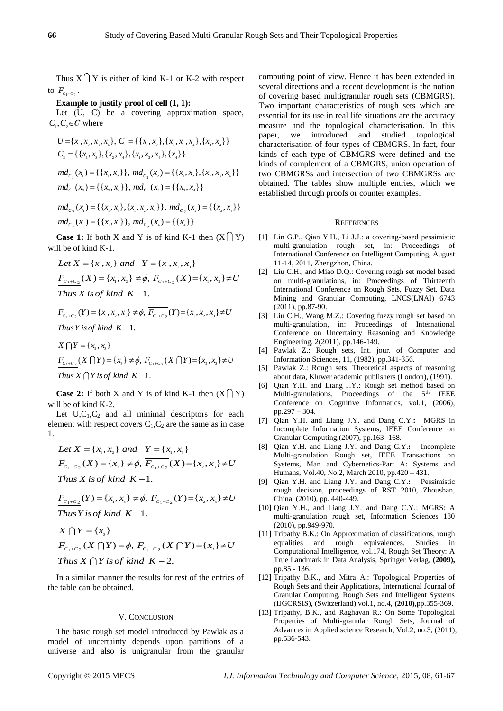Thus  $X \cap Y$  is either of kind K-1 or K-2 with respect to  $F_{c_1+c_2}$ .

# **Example to justify proof of cell (1, 1):**

Let  $(U, C)$  be a covering approximation space,  $C_1, C_2 \in \mathcal{C}$  where

$$
U = \{x_1, x_2, x_3, x_4\}, C_1 = \{\{x_1, x_2\}, \{x_2, x_3, x_4\}, \{x_3, x_4\}\}
$$
  
\n
$$
C_2 = \{\{x_1, x_3\}, \{x_2, x_4\}, \{x_1, x_2, x_4\}, \{x_4\}\}
$$
  
\n
$$
md_{c_1}(x_1) = \{\{x_1, x_2\}\}, md_{c_1}(x_2) = \{\{x_1, x_2\}, \{x_2, x_3, x_4\}\}
$$
  
\n
$$
md_{c_1}(x_3) = \{\{x_3, x_4\}\}, md_{c_1}(x_4) = \{\{x_3, x_4\}\}
$$
  
\n
$$
md_{c_2}(x_1) = \{\{x_1, x_3\}, \{x_1, x_2, x_4\}\}, md_{c_2}(x_2) = \{\{x_2, x_4\}\}
$$

$$
md_{c_2}(x_1) = \{ \{x_1, x_3\}, \{x_1, x_2, x_4\} \}, md_{c_2}(x_2) = \{ \{x_2, x_4\} \}
$$
  

$$
md_{c_2}(x_3) = \{ \{x_1, x_3\} \}, md_{c_2}(x_4) = \{ \{x_4\} \}
$$

**Case 1:** If both X and Y is of kind K-1 then  $(X \cap Y)$ will be of kind K-1.

ll be of kind K-1.  
\nLet 
$$
X = \{x_1, x_2\}
$$
 and  $Y = \{x_1, x_2, x_3\}$   
\n
$$
\frac{F_{C_1+C_2}}{N} (X) = \{x_1, x_2\} \neq \emptyset, \ \overline{F_{C_1+C_2}} (X) = \{x_1, x_2\} \neq U
$$
\nThus *X* is of kind *K* −1.

$$
F_{C_1+C_2}(Y) = \{x_1, x_2, x_3\} \neq \emptyset, \overline{F_{C_1+C_2}}(Y) = \{x_1, x_2, x_3\} \neq U
$$
  
Thus Y is of kind K -1.  

$$
X \bigcap Y = \{x_2, x_3\}
$$

$$
X \bigcap Y = \{x_2, x_3\}
$$
  

$$
\frac{F_{C_1+C_2}(X \bigcap Y) = \{x_3\} \neq \emptyset, \overline{F_{C_1+C_2}(X \bigcap Y)} = \{x_2, x_3\} \neq U
$$
  
Thus  $X \bigcap Y$  is of kind  $K - 1$ .

**Case 2:** If both X and Y is of kind K-1 then  $(X \cap Y)$ will be of kind K-2.

Let  $U, C_1, C_2$  and all minimal descriptors for each element with respect covers  $C_1$ ,  $C_2$  are the same as in case 1.

Let 
$$
X = \{x_1, x_2\}
$$
 and  $Y = \{x_1, x_3\}$   
\n
$$
\frac{F_{C_1+C_2}}{K_1}
$$
  $\times$   $(X) = \{x_2\} \neq \phi$ ,  $\frac{F_{C_1+C_2}}{F_{C_1+C_2}}$   $(X) = \{x_2, x_3\} \neq U$   
\nThus  $X$  is of kind  $K-1$ .

Thus X is of kind 
$$
K-1
$$
.  
\n
$$
\frac{F_{C_1+C_2}(Y) = \{x_1, x_3\} \neq \emptyset, \ \overline{F_{C_1+C_2}}(Y) = \{x_2, x_3\} \neq U
$$
\nThus Y is of kind  $K-1$ .

Thus 
$$
Y
$$
 is of kind  $K-1$ .

$$
\begin{aligned}\n\text{Thus } Y \text{ is of } K - 1. \\
X \bigcap Y &= \{x_{3}\} \\
\frac{F_{C_{1}+C_{2}}}{\text{Thus } X \bigcap Y \text{ is of } k \text{ in } K - 2.}\n\end{aligned}
$$

In a similar manner the results for rest of the entries of the table can be obtained.

## V. CONCLUSION

The basic rough set model introduced by Pawlak as a model of uncertainty depends upon partitions of a universe and also is unigranular from the granular computing point of view. Hence it has been extended in several directions and a recent development is the notion of covering based multigranular rough sets (CBMGRS). Two important characteristics of rough sets which are essential for its use in real life situations are the accuracy measure and the topological characterisation. In this paper, we introduced and studied topological characterisation of four types of CBMGRS. In fact, four kinds of each type of CBMGRS were defined and the kinds of complement of a CBMGRS, union operation of two CBMGRSs and intersection of two CBMGRSs are obtained. The tables show multiple entries, which we established through proofs or counter examples.

#### **REFERENCES**

- [1] Lin G.P., Qian Y.H., Li J.J.: a covering-based pessimistic multi-granulation rough set, in: Proceedings of International Conference on Intelligent Computing, August 11-14, 2011, Zhengzhon, China.
- [2] Liu C.H., and Miao D.Q.: Covering rough set model based on multi-granulations, in: Proceedings of Thirteenth International Conference on Rough Sets, Fuzzy Set, Data Mining and Granular Computing, LNCS(LNAI) 6743 (2011), pp.87-90.
- [3] Liu C.H., Wang M.Z.: Covering fuzzy rough set based on multi-granulation, in: Proceedings of International Conference on Uncertainty Reasoning and Knowledge Engineering, 2(2011), pp.146-149.
- [4] Pawlak Z.: Rough sets, Int. jour. of Computer and Information Sciences, 11, (1982), pp.341-356.
- [5] Pawlak Z.: Rough sets: Theoretical aspects of reasoning about data, Kluwer academic publishers (London), (1991).
- [6] Qian Y.H. and Liang J.Y.: Rough set method based on Multi-granulations, Proceedings of the 5<sup>th</sup> IEEE Conference on Cognitive Informatics, vol.1, (2006), pp.297 – 304.
- [7] Qian Y.H. and Liang J.Y. and Dang C.Y.**:** MGRS in Incomplete Information Systems, IEEE Conference on Granular Computing,(2007), pp.163 -168.
- [8] Qian Y.H. and Liang J.Y. and Dang C.Y.**:** Incomplete Multi-granulation Rough set, IEEE Transactions on Systems, Man and Cybernetics-Part A: Systems and Humans, Vol.40, No.2, March 2010, pp.420 – 431.
- [9] Qian Y.H. and Liang J.Y. and Dang C.Y.**:** Pessimistic rough decision, proceedings of RST 2010, Zhoushan, China, (2010), pp. 440-449.
- [10] Qian Y.H., and Liang J.Y. and Dang C.Y.: MGRS: A multi-granulation rough set, Information Sciences 180 (2010), pp.949-970.
- [11] Tripathy B.K.: On Approximation of classifications, rough equalities and rough equivalences, Studies in Computational Intelligence, vol.174, Rough Set Theory: A True Landmark in Data Analysis, Springer Verlag, **(2009),**  pp.85 - 136.
- [12] Tripathy B.K., and Mitra A.: Topological Properties of Rough Sets and their Applications, International Journal of Granular Computing, Rough Sets and Intelligent Systems (IJGCRSIS), (Switzerland),vol.1, no.4, **(2010)**,pp.355-369.
- [13] Tripathy, B.K., and Raghavan R.: On Some Topological Properties of Multi-granular Rough Sets, Journal of Advances in Applied science Research, Vol.2, no.3, (2011), pp.536-543.